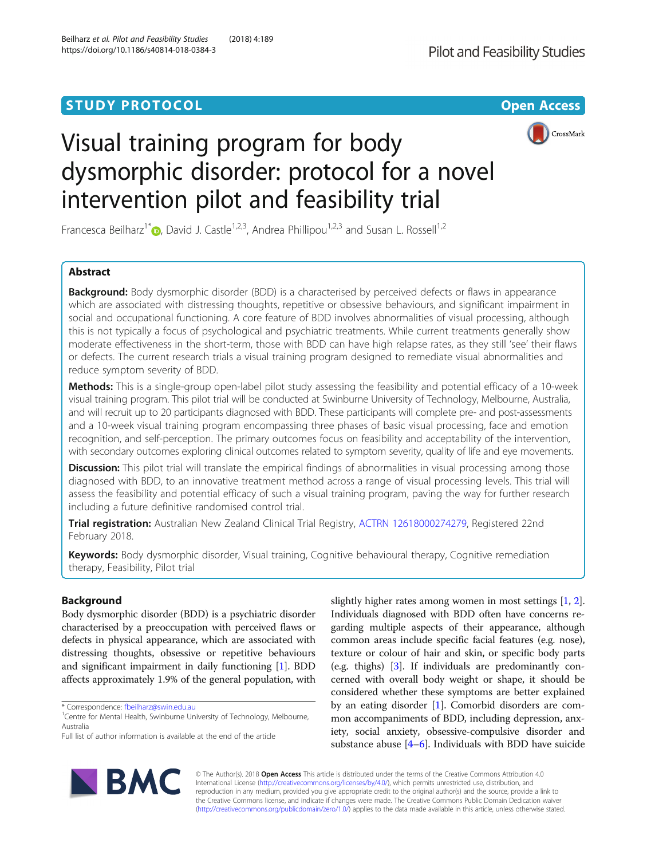# **STUDY PROTOCOL CONSUMING THE CONSUMING THE CONSUMING TEAM CONSUMING THE CONSUMING TEAM CONSUMING THE CONSUMING TEAM**





# Visual training program for body dysmorphic disorder: protocol for a novel intervention pilot and feasibility trial

Francesca Beilharz<sup>1[\\*](http://orcid.org/0000-0002-3241-2558)</sup>  $\bullet$ , David J. Castle<sup>1,2,3</sup>, Andrea Phillipou<sup>1,2,3</sup> and Susan L. Rossell<sup>1,2</sup>

# Abstract

**Background:** Body dysmorphic disorder (BDD) is a characterised by perceived defects or flaws in appearance which are associated with distressing thoughts, repetitive or obsessive behaviours, and significant impairment in social and occupational functioning. A core feature of BDD involves abnormalities of visual processing, although this is not typically a focus of psychological and psychiatric treatments. While current treatments generally show moderate effectiveness in the short-term, those with BDD can have high relapse rates, as they still 'see' their flaws or defects. The current research trials a visual training program designed to remediate visual abnormalities and reduce symptom severity of BDD.

Methods: This is a single-group open-label pilot study assessing the feasibility and potential efficacy of a 10-week visual training program. This pilot trial will be conducted at Swinburne University of Technology, Melbourne, Australia, and will recruit up to 20 participants diagnosed with BDD. These participants will complete pre- and post-assessments and a 10-week visual training program encompassing three phases of basic visual processing, face and emotion recognition, and self-perception. The primary outcomes focus on feasibility and acceptability of the intervention, with secondary outcomes exploring clinical outcomes related to symptom severity, quality of life and eye movements.

Discussion: This pilot trial will translate the empirical findings of abnormalities in visual processing among those diagnosed with BDD, to an innovative treatment method across a range of visual processing levels. This trial will assess the feasibility and potential efficacy of such a visual training program, paving the way for further research including a future definitive randomised control trial.

Trial registration: Australian New Zealand Clinical Trial Registry, [ACTRN 12618000274279,](https://www.anzctr.org.au/Trial/Registration/TrialReview.aspx?id=374531&isReview=true) Registered 22nd February 2018.

Keywords: Body dysmorphic disorder, Visual training, Cognitive behavioural therapy, Cognitive remediation therapy, Feasibility, Pilot trial

# Background

Body dysmorphic disorder (BDD) is a psychiatric disorder characterised by a preoccupation with perceived flaws or defects in physical appearance, which are associated with distressing thoughts, obsessive or repetitive behaviours and significant impairment in daily functioning [[1\]](#page-10-0). BDD affects approximately 1.9% of the general population, with

\* Correspondence: [fbeilharz@swin.edu.au](mailto:fbeilharz@swin.edu.au) <sup>1</sup>



© The Author(s). 2018 Open Access This article is distributed under the terms of the Creative Commons Attribution 4.0 International License [\(http://creativecommons.org/licenses/by/4.0/](http://creativecommons.org/licenses/by/4.0/)), which permits unrestricted use, distribution, and reproduction in any medium, provided you give appropriate credit to the original author(s) and the source, provide a link to the Creative Commons license, and indicate if changes were made. The Creative Commons Public Domain Dedication waiver [\(http://creativecommons.org/publicdomain/zero/1.0/](http://creativecommons.org/publicdomain/zero/1.0/)) applies to the data made available in this article, unless otherwise stated.



<sup>&</sup>lt;sup>1</sup> Centre for Mental Health, Swinburne University of Technology, Melbourne, Australia

Full list of author information is available at the end of the article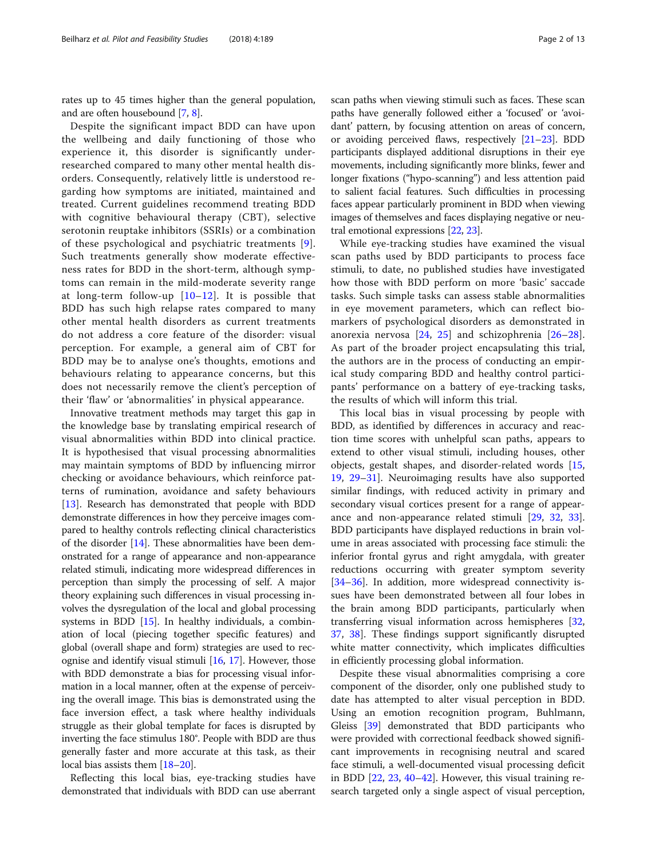rates up to 45 times higher than the general population, and are often housebound [\[7,](#page-10-0) [8](#page-10-0)].

Despite the significant impact BDD can have upon the wellbeing and daily functioning of those who experience it, this disorder is significantly underresearched compared to many other mental health disorders. Consequently, relatively little is understood regarding how symptoms are initiated, maintained and treated. Current guidelines recommend treating BDD with cognitive behavioural therapy (CBT), selective serotonin reuptake inhibitors (SSRIs) or a combination of these psychological and psychiatric treatments [[9](#page-10-0)]. Such treatments generally show moderate effectiveness rates for BDD in the short-term, although symptoms can remain in the mild-moderate severity range at long-term follow-up [[10](#page-10-0)–[12](#page-10-0)]. It is possible that BDD has such high relapse rates compared to many other mental health disorders as current treatments do not address a core feature of the disorder: visual perception. For example, a general aim of CBT for BDD may be to analyse one's thoughts, emotions and behaviours relating to appearance concerns, but this does not necessarily remove the client's perception of their 'flaw' or 'abnormalities' in physical appearance.

Innovative treatment methods may target this gap in the knowledge base by translating empirical research of visual abnormalities within BDD into clinical practice. It is hypothesised that visual processing abnormalities may maintain symptoms of BDD by influencing mirror checking or avoidance behaviours, which reinforce patterns of rumination, avoidance and safety behaviours [[13\]](#page-10-0). Research has demonstrated that people with BDD demonstrate differences in how they perceive images compared to healthy controls reflecting clinical characteristics of the disorder [\[14\]](#page-10-0). These abnormalities have been demonstrated for a range of appearance and non-appearance related stimuli, indicating more widespread differences in perception than simply the processing of self. A major theory explaining such differences in visual processing involves the dysregulation of the local and global processing systems in BDD [\[15\]](#page-10-0). In healthy individuals, a combination of local (piecing together specific features) and global (overall shape and form) strategies are used to recognise and identify visual stimuli [[16](#page-10-0), [17](#page-10-0)]. However, those with BDD demonstrate a bias for processing visual information in a local manner, often at the expense of perceiving the overall image. This bias is demonstrated using the face inversion effect, a task where healthy individuals struggle as their global template for faces is disrupted by inverting the face stimulus 180°. People with BDD are thus generally faster and more accurate at this task, as their local bias assists them [\[18](#page-10-0)–[20](#page-10-0)].

Reflecting this local bias, eye-tracking studies have demonstrated that individuals with BDD can use aberrant scan paths when viewing stimuli such as faces. These scan paths have generally followed either a 'focused' or 'avoidant' pattern, by focusing attention on areas of concern, or avoiding perceived flaws, respectively  $[21-23]$  $[21-23]$  $[21-23]$  $[21-23]$ . BDD participants displayed additional disruptions in their eye movements, including significantly more blinks, fewer and longer fixations ("hypo-scanning") and less attention paid to salient facial features. Such difficulties in processing faces appear particularly prominent in BDD when viewing images of themselves and faces displaying negative or neutral emotional expressions [\[22,](#page-10-0) [23](#page-10-0)].

While eye-tracking studies have examined the visual scan paths used by BDD participants to process face stimuli, to date, no published studies have investigated how those with BDD perform on more 'basic' saccade tasks. Such simple tasks can assess stable abnormalities in eye movement parameters, which can reflect biomarkers of psychological disorders as demonstrated in anorexia nervosa [[24,](#page-10-0) [25\]](#page-10-0) and schizophrenia [\[26](#page-10-0)–[28](#page-10-0)]. As part of the broader project encapsulating this trial, the authors are in the process of conducting an empirical study comparing BDD and healthy control participants' performance on a battery of eye-tracking tasks, the results of which will inform this trial.

This local bias in visual processing by people with BDD, as identified by differences in accuracy and reaction time scores with unhelpful scan paths, appears to extend to other visual stimuli, including houses, other objects, gestalt shapes, and disorder-related words [[15](#page-10-0), [19,](#page-10-0) [29](#page-10-0)–[31](#page-10-0)]. Neuroimaging results have also supported similar findings, with reduced activity in primary and secondary visual cortices present for a range of appearance and non-appearance related stimuli [\[29,](#page-10-0) [32](#page-10-0), [33](#page-10-0)]. BDD participants have displayed reductions in brain volume in areas associated with processing face stimuli: the inferior frontal gyrus and right amygdala, with greater reductions occurring with greater symptom severity [[34](#page-10-0)–[36](#page-10-0)]. In addition, more widespread connectivity issues have been demonstrated between all four lobes in the brain among BDD participants, particularly when transferring visual information across hemispheres [[32](#page-10-0), [37,](#page-10-0) [38\]](#page-10-0). These findings support significantly disrupted white matter connectivity, which implicates difficulties in efficiently processing global information.

Despite these visual abnormalities comprising a core component of the disorder, only one published study to date has attempted to alter visual perception in BDD. Using an emotion recognition program, Buhlmann, Gleiss [\[39\]](#page-10-0) demonstrated that BDD participants who were provided with correctional feedback showed significant improvements in recognising neutral and scared face stimuli, a well-documented visual processing deficit in BDD [\[22](#page-10-0), [23](#page-10-0), [40](#page-10-0)–[42](#page-11-0)]. However, this visual training research targeted only a single aspect of visual perception,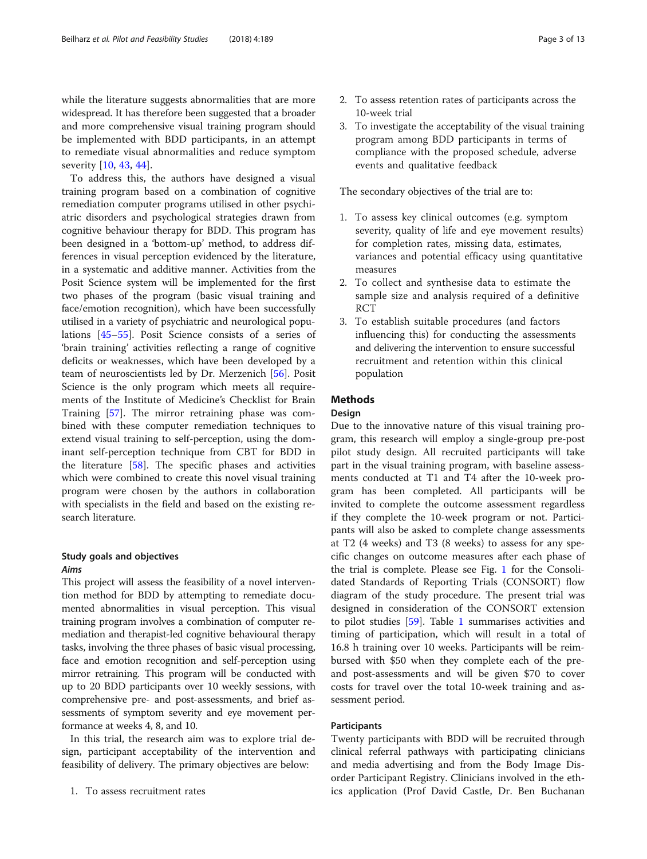while the literature suggests abnormalities that are more widespread. It has therefore been suggested that a broader and more comprehensive visual training program should be implemented with BDD participants, in an attempt to remediate visual abnormalities and reduce symptom severity [[10,](#page-10-0) [43,](#page-11-0) [44\]](#page-11-0).

To address this, the authors have designed a visual training program based on a combination of cognitive remediation computer programs utilised in other psychiatric disorders and psychological strategies drawn from cognitive behaviour therapy for BDD. This program has been designed in a 'bottom-up' method, to address differences in visual perception evidenced by the literature, in a systematic and additive manner. Activities from the Posit Science system will be implemented for the first two phases of the program (basic visual training and face/emotion recognition), which have been successfully utilised in a variety of psychiatric and neurological populations [[45](#page-11-0)–[55](#page-11-0)]. Posit Science consists of a series of 'brain training' activities reflecting a range of cognitive deficits or weaknesses, which have been developed by a team of neuroscientists led by Dr. Merzenich [[56\]](#page-11-0). Posit Science is the only program which meets all requirements of the Institute of Medicine's Checklist for Brain Training [[57](#page-11-0)]. The mirror retraining phase was combined with these computer remediation techniques to extend visual training to self-perception, using the dominant self-perception technique from CBT for BDD in the literature [[58\]](#page-11-0). The specific phases and activities which were combined to create this novel visual training program were chosen by the authors in collaboration with specialists in the field and based on the existing research literature.

# Study goals and objectives Aims

This project will assess the feasibility of a novel intervention method for BDD by attempting to remediate documented abnormalities in visual perception. This visual training program involves a combination of computer remediation and therapist-led cognitive behavioural therapy tasks, involving the three phases of basic visual processing, face and emotion recognition and self-perception using mirror retraining. This program will be conducted with up to 20 BDD participants over 10 weekly sessions, with comprehensive pre- and post-assessments, and brief assessments of symptom severity and eye movement performance at weeks 4, 8, and 10.

In this trial, the research aim was to explore trial design, participant acceptability of the intervention and feasibility of delivery. The primary objectives are below:

- 2. To assess retention rates of participants across the 10-week trial
- 3. To investigate the acceptability of the visual training program among BDD participants in terms of compliance with the proposed schedule, adverse events and qualitative feedback

The secondary objectives of the trial are to:

- 1. To assess key clinical outcomes (e.g. symptom severity, quality of life and eye movement results) for completion rates, missing data, estimates, variances and potential efficacy using quantitative measures
- 2. To collect and synthesise data to estimate the sample size and analysis required of a definitive RCT
- 3. To establish suitable procedures (and factors influencing this) for conducting the assessments and delivering the intervention to ensure successful recruitment and retention within this clinical population

# **Methods**

# **Design**

Due to the innovative nature of this visual training program, this research will employ a single-group pre-post pilot study design. All recruited participants will take part in the visual training program, with baseline assessments conducted at T1 and T4 after the 10-week program has been completed. All participants will be invited to complete the outcome assessment regardless if they complete the 10-week program or not. Participants will also be asked to complete change assessments at T2 (4 weeks) and T3 (8 weeks) to assess for any specific changes on outcome measures after each phase of the trial is complete. Please see Fig. [1](#page-3-0) for the Consolidated Standards of Reporting Trials (CONSORT) flow diagram of the study procedure. The present trial was designed in consideration of the CONSORT extension to pilot studies [\[59\]](#page-11-0). Table [1](#page-3-0) summarises activities and timing of participation, which will result in a total of 16.8 h training over 10 weeks. Participants will be reimbursed with \$50 when they complete each of the preand post-assessments and will be given \$70 to cover costs for travel over the total 10-week training and assessment period.

#### Participants

Twenty participants with BDD will be recruited through clinical referral pathways with participating clinicians and media advertising and from the Body Image Disorder Participant Registry. Clinicians involved in the ethics application (Prof David Castle, Dr. Ben Buchanan

<sup>1.</sup> To assess recruitment rates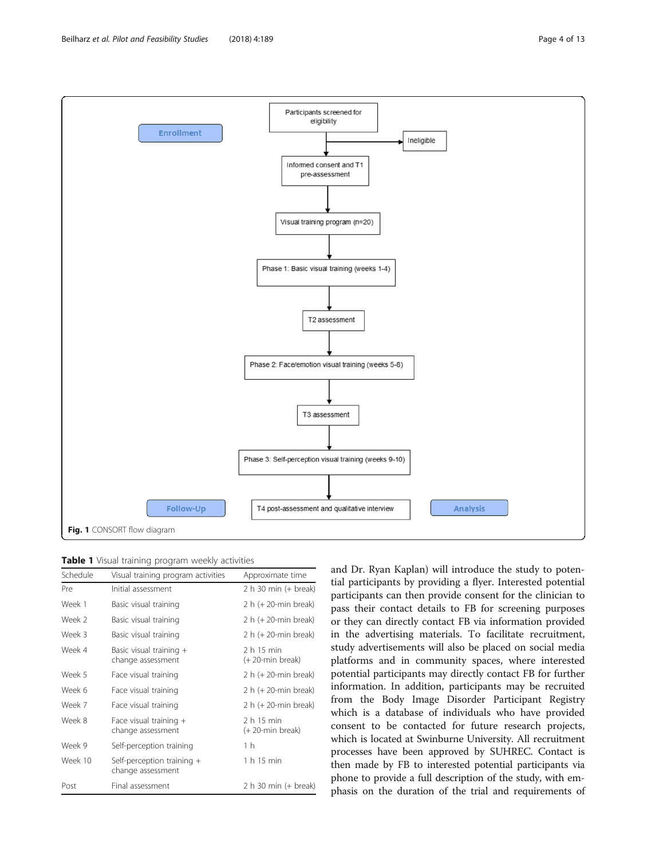<span id="page-3-0"></span>

|  |  |  |  |  |  | Table 1 Visual training program weekly activities |
|--|--|--|--|--|--|---------------------------------------------------|
|--|--|--|--|--|--|---------------------------------------------------|

| Schedule | Visual training program activities              | Approximate time              |  |
|----------|-------------------------------------------------|-------------------------------|--|
| Pre      | Initial assessment                              | 2 h 30 min (+ break)          |  |
| Week 1   | Basic visual training                           | $2 h (+ 20$ -min break)       |  |
| Week 2   | Basic visual training                           | 2 h (+ 20-min break)          |  |
| Week 3   | Basic visual training                           | 2 h (+ 20-min break)          |  |
| Week 4   | Basic visual training +<br>change assessment    | 2 h 15 min<br>(+20-min break) |  |
| Week 5   | Face visual training                            | 2 h (+ 20-min break)          |  |
| Week 6   | Face visual training                            | 2 h (+ 20-min break)          |  |
| Week 7   | Face visual training                            | 2 h (+ 20-min break)          |  |
| Week 8   | Face visual training $+$<br>change assessment   | 2 h 15 min<br>(+20-min break) |  |
| Week 9   | Self-perception training                        | 1 h                           |  |
| Week 10  | Self-perception training +<br>change assessment | 1 h 15 min                    |  |
| Post     | Final assessment                                | 2 h 30 min (+ break)          |  |

and Dr. Ryan Kaplan) will introduce the study to potential participants by providing a flyer. Interested potential participants can then provide consent for the clinician to pass their contact details to FB for screening purposes or they can directly contact FB via information provided in the advertising materials. To facilitate recruitment, study advertisements will also be placed on social media platforms and in community spaces, where interested potential participants may directly contact FB for further information. In addition, participants may be recruited from the Body Image Disorder Participant Registry which is a database of individuals who have provided consent to be contacted for future research projects, which is located at Swinburne University. All recruitment processes have been approved by SUHREC. Contact is then made by FB to interested potential participants via phone to provide a full description of the study, with emphasis on the duration of the trial and requirements of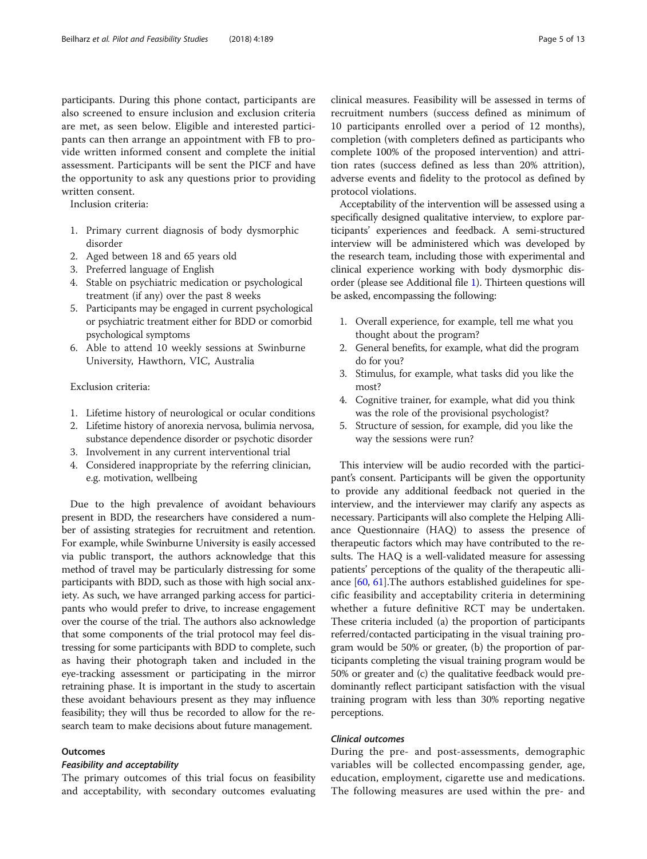participants. During this phone contact, participants are also screened to ensure inclusion and exclusion criteria are met, as seen below. Eligible and interested participants can then arrange an appointment with FB to provide written informed consent and complete the initial assessment. Participants will be sent the PICF and have the opportunity to ask any questions prior to providing written consent.

Inclusion criteria:

- 1. Primary current diagnosis of body dysmorphic disorder
- 2. Aged between 18 and 65 years old
- 3. Preferred language of English
- 4. Stable on psychiatric medication or psychological treatment (if any) over the past 8 weeks
- 5. Participants may be engaged in current psychological or psychiatric treatment either for BDD or comorbid psychological symptoms
- 6. Able to attend 10 weekly sessions at Swinburne University, Hawthorn, VIC, Australia

Exclusion criteria:

- 1. Lifetime history of neurological or ocular conditions
- 2. Lifetime history of anorexia nervosa, bulimia nervosa, substance dependence disorder or psychotic disorder
- 3. Involvement in any current interventional trial
- 4. Considered inappropriate by the referring clinician, e.g. motivation, wellbeing

Due to the high prevalence of avoidant behaviours present in BDD, the researchers have considered a number of assisting strategies for recruitment and retention. For example, while Swinburne University is easily accessed via public transport, the authors acknowledge that this method of travel may be particularly distressing for some participants with BDD, such as those with high social anxiety. As such, we have arranged parking access for participants who would prefer to drive, to increase engagement over the course of the trial. The authors also acknowledge that some components of the trial protocol may feel distressing for some participants with BDD to complete, such as having their photograph taken and included in the eye-tracking assessment or participating in the mirror retraining phase. It is important in the study to ascertain these avoidant behaviours present as they may influence feasibility; they will thus be recorded to allow for the research team to make decisions about future management.

# Outcomes

# Feasibility and acceptability

The primary outcomes of this trial focus on feasibility and acceptability, with secondary outcomes evaluating clinical measures. Feasibility will be assessed in terms of recruitment numbers (success defined as minimum of 10 participants enrolled over a period of 12 months), completion (with completers defined as participants who complete 100% of the proposed intervention) and attrition rates (success defined as less than 20% attrition), adverse events and fidelity to the protocol as defined by protocol violations.

Acceptability of the intervention will be assessed using a specifically designed qualitative interview, to explore participants' experiences and feedback. A semi-structured interview will be administered which was developed by the research team, including those with experimental and clinical experience working with body dysmorphic disorder (please see Additional file [1\)](#page-9-0). Thirteen questions will be asked, encompassing the following:

- 1. Overall experience, for example, tell me what you thought about the program?
- 2. General benefits, for example, what did the program do for you?
- 3. Stimulus, for example, what tasks did you like the most?
- 4. Cognitive trainer, for example, what did you think was the role of the provisional psychologist?
- 5. Structure of session, for example, did you like the way the sessions were run?

This interview will be audio recorded with the participant's consent. Participants will be given the opportunity to provide any additional feedback not queried in the interview, and the interviewer may clarify any aspects as necessary. Participants will also complete the Helping Alliance Questionnaire (HAQ) to assess the presence of therapeutic factors which may have contributed to the results. The HAQ is a well-validated measure for assessing patients' perceptions of the quality of the therapeutic alliance [\[60,](#page-11-0) [61](#page-11-0)].The authors established guidelines for specific feasibility and acceptability criteria in determining whether a future definitive RCT may be undertaken. These criteria included (a) the proportion of participants referred/contacted participating in the visual training program would be 50% or greater, (b) the proportion of participants completing the visual training program would be 50% or greater and (c) the qualitative feedback would predominantly reflect participant satisfaction with the visual training program with less than 30% reporting negative perceptions.

# Clinical outcomes

During the pre- and post-assessments, demographic variables will be collected encompassing gender, age, education, employment, cigarette use and medications. The following measures are used within the pre- and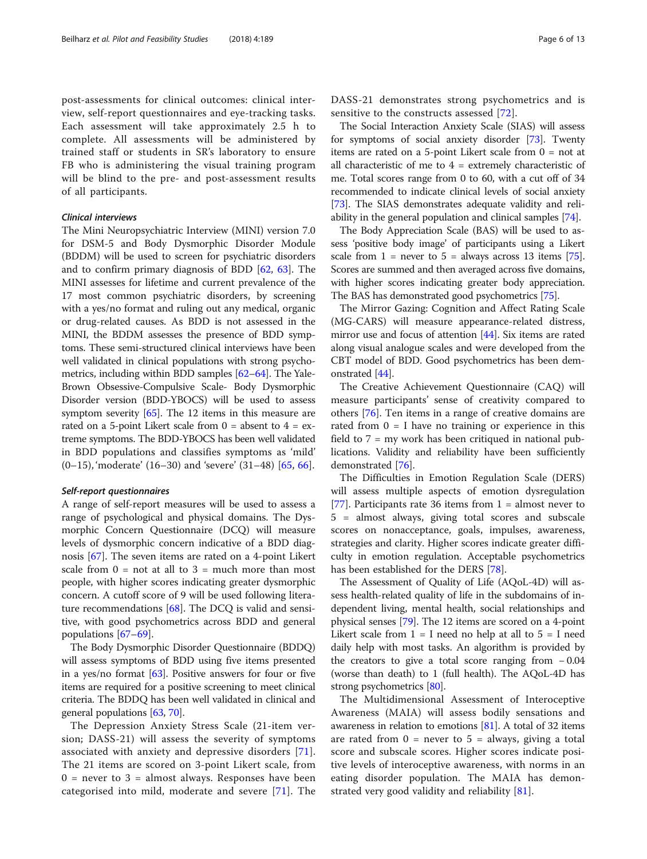post-assessments for clinical outcomes: clinical interview, self-report questionnaires and eye-tracking tasks. Each assessment will take approximately 2.5 h to complete. All assessments will be administered by trained staff or students in SR's laboratory to ensure FB who is administering the visual training program will be blind to the pre- and post-assessment results of all participants.

# Clinical interviews

The Mini Neuropsychiatric Interview (MINI) version 7.0 for DSM-5 and Body Dysmorphic Disorder Module (BDDM) will be used to screen for psychiatric disorders and to confirm primary diagnosis of BDD [[62,](#page-11-0) [63](#page-11-0)]. The MINI assesses for lifetime and current prevalence of the 17 most common psychiatric disorders, by screening with a yes/no format and ruling out any medical, organic or drug-related causes. As BDD is not assessed in the MINI, the BDDM assesses the presence of BDD symptoms. These semi-structured clinical interviews have been well validated in clinical populations with strong psychometrics, including within BDD samples [\[62](#page-11-0)–[64\]](#page-11-0). The Yale-Brown Obsessive-Compulsive Scale- Body Dysmorphic Disorder version (BDD-YBOCS) will be used to assess symptom severity [[65](#page-11-0)]. The 12 items in this measure are rated on a 5-point Likert scale from  $0 =$  absent to  $4 =$  extreme symptoms. The BDD-YBOCS has been well validated in BDD populations and classifies symptoms as 'mild'  $(0-15)$ , 'moderate'  $(16-30)$  and 'severe'  $(31-48)$  [\[65](#page-11-0), [66](#page-11-0)].

# Self-report questionnaires

A range of self-report measures will be used to assess a range of psychological and physical domains. The Dysmorphic Concern Questionnaire (DCQ) will measure levels of dysmorphic concern indicative of a BDD diagnosis [[67](#page-11-0)]. The seven items are rated on a 4-point Likert scale from  $0 = not at all to 3 = much more than most$ people, with higher scores indicating greater dysmorphic concern. A cutoff score of 9 will be used following literature recommendations [[68\]](#page-11-0). The DCQ is valid and sensitive, with good psychometrics across BDD and general populations [[67](#page-11-0)–[69](#page-11-0)].

The Body Dysmorphic Disorder Questionnaire (BDDQ) will assess symptoms of BDD using five items presented in a yes/no format  $[63]$ . Positive answers for four or five items are required for a positive screening to meet clinical criteria. The BDDQ has been well validated in clinical and general populations [[63](#page-11-0), [70\]](#page-11-0).

The Depression Anxiety Stress Scale (21-item version; DASS-21) will assess the severity of symptoms associated with anxiety and depressive disorders [[71](#page-11-0)]. The 21 items are scored on 3-point Likert scale, from  $0 =$  never to  $3 =$  almost always. Responses have been categorised into mild, moderate and severe [[71](#page-11-0)]. The DASS-21 demonstrates strong psychometrics and is sensitive to the constructs assessed [[72\]](#page-11-0).

The Social Interaction Anxiety Scale (SIAS) will assess for symptoms of social anxiety disorder [[73](#page-11-0)]. Twenty items are rated on a 5-point Likert scale from 0 = not at all characteristic of me to  $4 =$  extremely characteristic of me. Total scores range from 0 to 60, with a cut off of 34 recommended to indicate clinical levels of social anxiety [[73](#page-11-0)]. The SIAS demonstrates adequate validity and reliability in the general population and clinical samples [\[74\]](#page-11-0).

The Body Appreciation Scale (BAS) will be used to assess 'positive body image' of participants using a Likert scale from  $1 =$  never to  $5 =$  always across 13 items [[75](#page-11-0)]. Scores are summed and then averaged across five domains, with higher scores indicating greater body appreciation. The BAS has demonstrated good psychometrics [[75](#page-11-0)].

The Mirror Gazing: Cognition and Affect Rating Scale (MG-CARS) will measure appearance-related distress, mirror use and focus of attention [\[44\]](#page-11-0). Six items are rated along visual analogue scales and were developed from the CBT model of BDD. Good psychometrics has been demonstrated [\[44\]](#page-11-0).

The Creative Achievement Questionnaire (CAQ) will measure participants' sense of creativity compared to others [\[76](#page-11-0)]. Ten items in a range of creative domains are rated from  $0 = I$  have no training or experience in this field to 7 = my work has been critiqued in national publications. Validity and reliability have been sufficiently demonstrated [[76\]](#page-11-0).

The Difficulties in Emotion Regulation Scale (DERS) will assess multiple aspects of emotion dysregulation [[77\]](#page-11-0). Participants rate 36 items from  $1 =$  almost never to 5 = almost always, giving total scores and subscale scores on nonacceptance, goals, impulses, awareness, strategies and clarity. Higher scores indicate greater difficulty in emotion regulation. Acceptable psychometrics has been established for the DERS [[78](#page-11-0)].

The Assessment of Quality of Life (AQoL-4D) will assess health-related quality of life in the subdomains of independent living, mental health, social relationships and physical senses [[79](#page-11-0)]. The 12 items are scored on a 4-point Likert scale from  $1 = I$  need no help at all to  $5 = I$  need daily help with most tasks. An algorithm is provided by the creators to give a total score ranging from − 0.04 (worse than death) to 1 (full health). The AQoL-4D has strong psychometrics [[80](#page-11-0)].

The Multidimensional Assessment of Interoceptive Awareness (MAIA) will assess bodily sensations and awareness in relation to emotions [[81](#page-11-0)]. A total of 32 items are rated from  $0 =$  never to  $5 =$  always, giving a total score and subscale scores. Higher scores indicate positive levels of interoceptive awareness, with norms in an eating disorder population. The MAIA has demonstrated very good validity and reliability [\[81](#page-11-0)].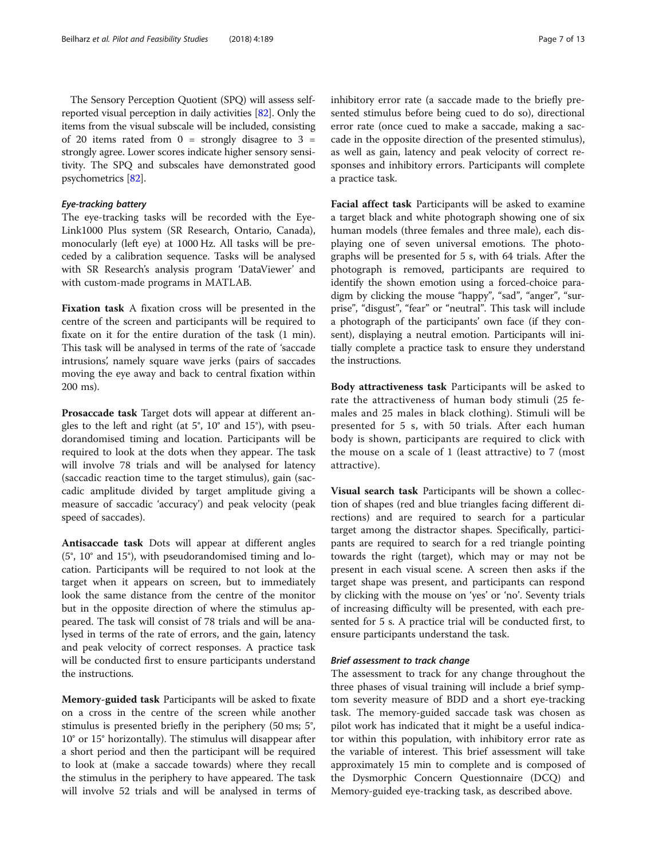The Sensory Perception Quotient (SPQ) will assess selfreported visual perception in daily activities [[82](#page-12-0)]. Only the items from the visual subscale will be included, consisting of 20 items rated from  $0 =$  strongly disagree to  $3 =$ strongly agree. Lower scores indicate higher sensory sensitivity. The SPQ and subscales have demonstrated good psychometrics [[82](#page-12-0)].

# Eye-tracking battery

The eye-tracking tasks will be recorded with the Eye-Link1000 Plus system (SR Research, Ontario, Canada), monocularly (left eye) at 1000 Hz. All tasks will be preceded by a calibration sequence. Tasks will be analysed with SR Research's analysis program 'DataViewer' and with custom-made programs in MATLAB.

Fixation task A fixation cross will be presented in the centre of the screen and participants will be required to fixate on it for the entire duration of the task (1 min). This task will be analysed in terms of the rate of 'saccade intrusions', namely square wave jerks (pairs of saccades moving the eye away and back to central fixation within 200 ms).

Prosaccade task Target dots will appear at different angles to the left and right (at 5°, 10° and 15°), with pseudorandomised timing and location. Participants will be required to look at the dots when they appear. The task will involve 78 trials and will be analysed for latency (saccadic reaction time to the target stimulus), gain (saccadic amplitude divided by target amplitude giving a measure of saccadic 'accuracy') and peak velocity (peak speed of saccades).

Antisaccade task Dots will appear at different angles (5°, 10° and 15°), with pseudorandomised timing and location. Participants will be required to not look at the target when it appears on screen, but to immediately look the same distance from the centre of the monitor but in the opposite direction of where the stimulus appeared. The task will consist of 78 trials and will be analysed in terms of the rate of errors, and the gain, latency and peak velocity of correct responses. A practice task will be conducted first to ensure participants understand the instructions.

Memory-guided task Participants will be asked to fixate on a cross in the centre of the screen while another stimulus is presented briefly in the periphery (50 ms; 5°, 10° or 15° horizontally). The stimulus will disappear after a short period and then the participant will be required to look at (make a saccade towards) where they recall the stimulus in the periphery to have appeared. The task will involve 52 trials and will be analysed in terms of inhibitory error rate (a saccade made to the briefly presented stimulus before being cued to do so), directional error rate (once cued to make a saccade, making a saccade in the opposite direction of the presented stimulus), as well as gain, latency and peak velocity of correct responses and inhibitory errors. Participants will complete a practice task.

Facial affect task Participants will be asked to examine a target black and white photograph showing one of six human models (three females and three male), each displaying one of seven universal emotions. The photographs will be presented for 5 s, with 64 trials. After the photograph is removed, participants are required to identify the shown emotion using a forced-choice paradigm by clicking the mouse "happy", "sad", "anger", "surprise", "disgust", "fear" or "neutral". This task will include a photograph of the participants' own face (if they consent), displaying a neutral emotion. Participants will initially complete a practice task to ensure they understand the instructions.

Body attractiveness task Participants will be asked to rate the attractiveness of human body stimuli (25 females and 25 males in black clothing). Stimuli will be presented for 5 s, with 50 trials. After each human body is shown, participants are required to click with the mouse on a scale of 1 (least attractive) to 7 (most attractive).

Visual search task Participants will be shown a collection of shapes (red and blue triangles facing different directions) and are required to search for a particular target among the distractor shapes. Specifically, participants are required to search for a red triangle pointing towards the right (target), which may or may not be present in each visual scene. A screen then asks if the target shape was present, and participants can respond by clicking with the mouse on 'yes' or 'no'. Seventy trials of increasing difficulty will be presented, with each presented for 5 s. A practice trial will be conducted first, to ensure participants understand the task.

# Brief assessment to track change

The assessment to track for any change throughout the three phases of visual training will include a brief symptom severity measure of BDD and a short eye-tracking task. The memory-guided saccade task was chosen as pilot work has indicated that it might be a useful indicator within this population, with inhibitory error rate as the variable of interest. This brief assessment will take approximately 15 min to complete and is composed of the Dysmorphic Concern Questionnaire (DCQ) and Memory-guided eye-tracking task, as described above.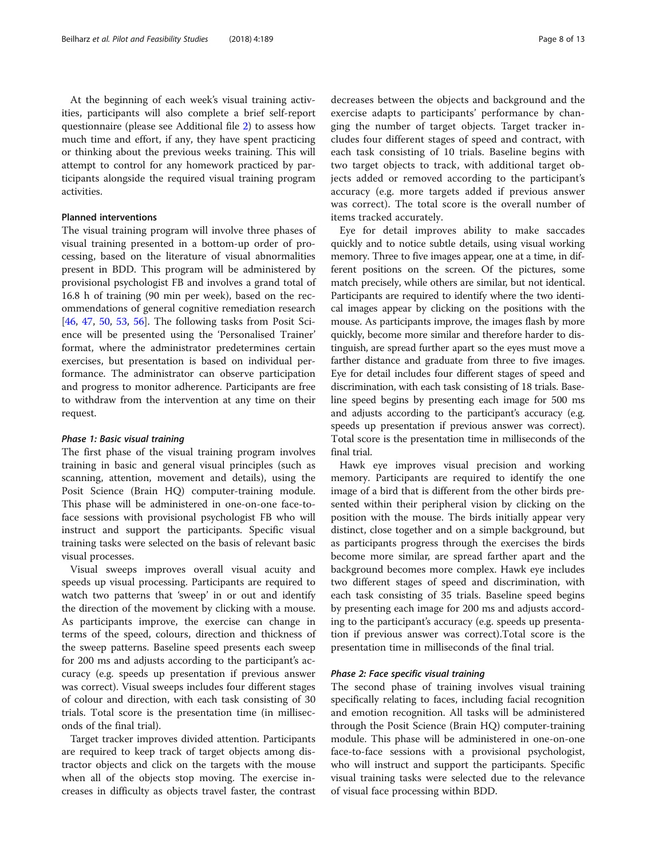At the beginning of each week's visual training activities, participants will also complete a brief self-report questionnaire (please see Additional file [2\)](#page-9-0) to assess how much time and effort, if any, they have spent practicing or thinking about the previous weeks training. This will attempt to control for any homework practiced by participants alongside the required visual training program activities.

# Planned interventions

The visual training program will involve three phases of visual training presented in a bottom-up order of processing, based on the literature of visual abnormalities present in BDD. This program will be administered by provisional psychologist FB and involves a grand total of 16.8 h of training (90 min per week), based on the recommendations of general cognitive remediation research [[46,](#page-11-0) [47](#page-11-0), [50](#page-11-0), [53,](#page-11-0) [56\]](#page-11-0). The following tasks from Posit Science will be presented using the 'Personalised Trainer' format, where the administrator predetermines certain exercises, but presentation is based on individual performance. The administrator can observe participation and progress to monitor adherence. Participants are free to withdraw from the intervention at any time on their request.

#### Phase 1: Basic visual training

The first phase of the visual training program involves training in basic and general visual principles (such as scanning, attention, movement and details), using the Posit Science (Brain HQ) computer-training module. This phase will be administered in one-on-one face-toface sessions with provisional psychologist FB who will instruct and support the participants. Specific visual training tasks were selected on the basis of relevant basic visual processes.

Visual sweeps improves overall visual acuity and speeds up visual processing. Participants are required to watch two patterns that 'sweep' in or out and identify the direction of the movement by clicking with a mouse. As participants improve, the exercise can change in terms of the speed, colours, direction and thickness of the sweep patterns. Baseline speed presents each sweep for 200 ms and adjusts according to the participant's accuracy (e.g. speeds up presentation if previous answer was correct). Visual sweeps includes four different stages of colour and direction, with each task consisting of 30 trials. Total score is the presentation time (in milliseconds of the final trial).

Target tracker improves divided attention. Participants are required to keep track of target objects among distractor objects and click on the targets with the mouse when all of the objects stop moving. The exercise increases in difficulty as objects travel faster, the contrast decreases between the objects and background and the exercise adapts to participants' performance by changing the number of target objects. Target tracker includes four different stages of speed and contract, with each task consisting of 10 trials. Baseline begins with two target objects to track, with additional target objects added or removed according to the participant's accuracy (e.g. more targets added if previous answer was correct). The total score is the overall number of items tracked accurately.

Eye for detail improves ability to make saccades quickly and to notice subtle details, using visual working memory. Three to five images appear, one at a time, in different positions on the screen. Of the pictures, some match precisely, while others are similar, but not identical. Participants are required to identify where the two identical images appear by clicking on the positions with the mouse. As participants improve, the images flash by more quickly, become more similar and therefore harder to distinguish, are spread further apart so the eyes must move a farther distance and graduate from three to five images. Eye for detail includes four different stages of speed and discrimination, with each task consisting of 18 trials. Baseline speed begins by presenting each image for 500 ms and adjusts according to the participant's accuracy (e.g. speeds up presentation if previous answer was correct). Total score is the presentation time in milliseconds of the final trial.

Hawk eye improves visual precision and working memory. Participants are required to identify the one image of a bird that is different from the other birds presented within their peripheral vision by clicking on the position with the mouse. The birds initially appear very distinct, close together and on a simple background, but as participants progress through the exercises the birds become more similar, are spread farther apart and the background becomes more complex. Hawk eye includes two different stages of speed and discrimination, with each task consisting of 35 trials. Baseline speed begins by presenting each image for 200 ms and adjusts according to the participant's accuracy (e.g. speeds up presentation if previous answer was correct).Total score is the presentation time in milliseconds of the final trial.

# Phase 2: Face specific visual training

The second phase of training involves visual training specifically relating to faces, including facial recognition and emotion recognition. All tasks will be administered through the Posit Science (Brain HQ) computer-training module. This phase will be administered in one-on-one face-to-face sessions with a provisional psychologist, who will instruct and support the participants. Specific visual training tasks were selected due to the relevance of visual face processing within BDD.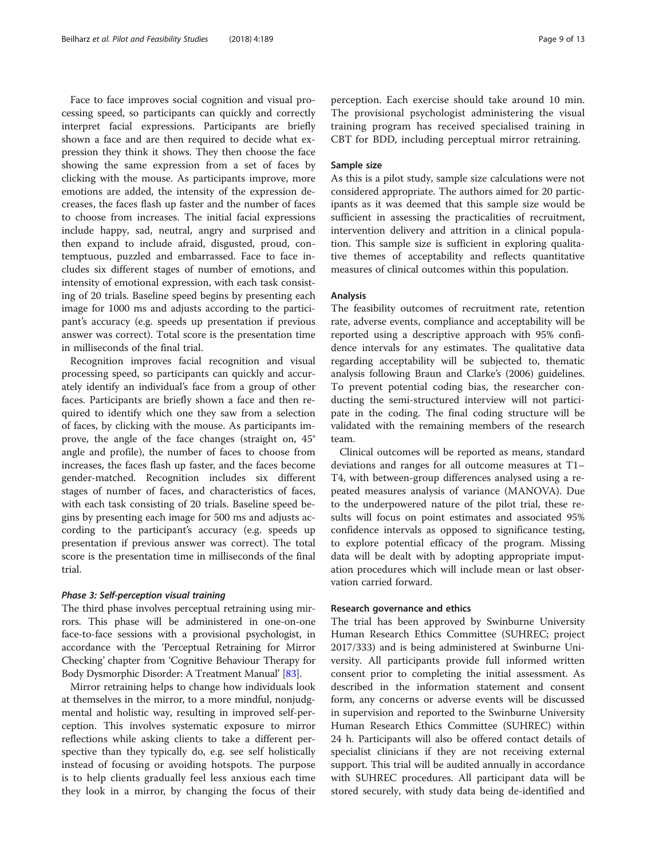Face to face improves social cognition and visual processing speed, so participants can quickly and correctly interpret facial expressions. Participants are briefly shown a face and are then required to decide what expression they think it shows. They then choose the face showing the same expression from a set of faces by clicking with the mouse. As participants improve, more emotions are added, the intensity of the expression decreases, the faces flash up faster and the number of faces to choose from increases. The initial facial expressions include happy, sad, neutral, angry and surprised and then expand to include afraid, disgusted, proud, contemptuous, puzzled and embarrassed. Face to face includes six different stages of number of emotions, and intensity of emotional expression, with each task consisting of 20 trials. Baseline speed begins by presenting each image for 1000 ms and adjusts according to the participant's accuracy (e.g. speeds up presentation if previous answer was correct). Total score is the presentation time in milliseconds of the final trial.

Recognition improves facial recognition and visual processing speed, so participants can quickly and accurately identify an individual's face from a group of other faces. Participants are briefly shown a face and then required to identify which one they saw from a selection of faces, by clicking with the mouse. As participants improve, the angle of the face changes (straight on, 45° angle and profile), the number of faces to choose from increases, the faces flash up faster, and the faces become gender-matched. Recognition includes six different stages of number of faces, and characteristics of faces, with each task consisting of 20 trials. Baseline speed begins by presenting each image for 500 ms and adjusts according to the participant's accuracy (e.g. speeds up presentation if previous answer was correct). The total score is the presentation time in milliseconds of the final trial.

### Phase 3: Self-perception visual training

The third phase involves perceptual retraining using mirrors. This phase will be administered in one-on-one face-to-face sessions with a provisional psychologist, in accordance with the 'Perceptual Retraining for Mirror Checking' chapter from 'Cognitive Behaviour Therapy for Body Dysmorphic Disorder: A Treatment Manual' [\[83\]](#page-12-0).

Mirror retraining helps to change how individuals look at themselves in the mirror, to a more mindful, nonjudgmental and holistic way, resulting in improved self-perception. This involves systematic exposure to mirror reflections while asking clients to take a different perspective than they typically do, e.g. see self holistically instead of focusing or avoiding hotspots. The purpose is to help clients gradually feel less anxious each time they look in a mirror, by changing the focus of their

perception. Each exercise should take around 10 min. The provisional psychologist administering the visual training program has received specialised training in CBT for BDD, including perceptual mirror retraining.

# Sample size

As this is a pilot study, sample size calculations were not considered appropriate. The authors aimed for 20 participants as it was deemed that this sample size would be sufficient in assessing the practicalities of recruitment, intervention delivery and attrition in a clinical population. This sample size is sufficient in exploring qualitative themes of acceptability and reflects quantitative measures of clinical outcomes within this population.

#### Analysis

The feasibility outcomes of recruitment rate, retention rate, adverse events, compliance and acceptability will be reported using a descriptive approach with 95% confidence intervals for any estimates. The qualitative data regarding acceptability will be subjected to, thematic analysis following Braun and Clarke's (2006) guidelines. To prevent potential coding bias, the researcher conducting the semi-structured interview will not participate in the coding. The final coding structure will be validated with the remaining members of the research team.

Clinical outcomes will be reported as means, standard deviations and ranges for all outcome measures at T1– T4, with between-group differences analysed using a repeated measures analysis of variance (MANOVA). Due to the underpowered nature of the pilot trial, these results will focus on point estimates and associated 95% confidence intervals as opposed to significance testing, to explore potential efficacy of the program. Missing data will be dealt with by adopting appropriate imputation procedures which will include mean or last observation carried forward.

#### Research governance and ethics

The trial has been approved by Swinburne University Human Research Ethics Committee (SUHREC; project 2017/333) and is being administered at Swinburne University. All participants provide full informed written consent prior to completing the initial assessment. As described in the information statement and consent form, any concerns or adverse events will be discussed in supervision and reported to the Swinburne University Human Research Ethics Committee (SUHREC) within 24 h. Participants will also be offered contact details of specialist clinicians if they are not receiving external support. This trial will be audited annually in accordance with SUHREC procedures. All participant data will be stored securely, with study data being de-identified and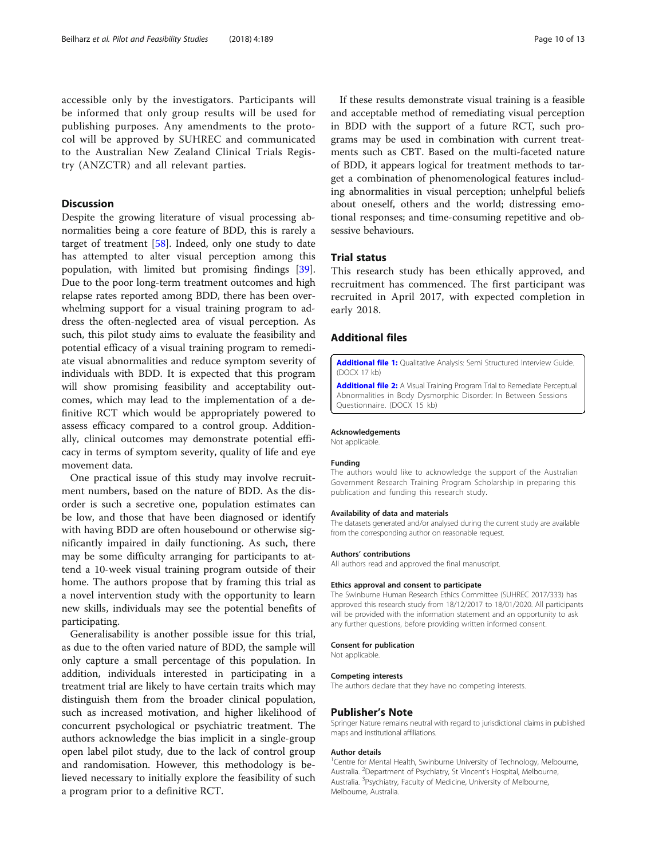<span id="page-9-0"></span>accessible only by the investigators. Participants will be informed that only group results will be used for publishing purposes. Any amendments to the protocol will be approved by SUHREC and communicated to the Australian New Zealand Clinical Trials Registry (ANZCTR) and all relevant parties.

# **Discussion**

Despite the growing literature of visual processing abnormalities being a core feature of BDD, this is rarely a target of treatment [[58\]](#page-11-0). Indeed, only one study to date has attempted to alter visual perception among this population, with limited but promising findings [\[39](#page-10-0)]. Due to the poor long-term treatment outcomes and high relapse rates reported among BDD, there has been overwhelming support for a visual training program to address the often-neglected area of visual perception. As such, this pilot study aims to evaluate the feasibility and potential efficacy of a visual training program to remediate visual abnormalities and reduce symptom severity of individuals with BDD. It is expected that this program will show promising feasibility and acceptability outcomes, which may lead to the implementation of a definitive RCT which would be appropriately powered to assess efficacy compared to a control group. Additionally, clinical outcomes may demonstrate potential efficacy in terms of symptom severity, quality of life and eye movement data.

One practical issue of this study may involve recruitment numbers, based on the nature of BDD. As the disorder is such a secretive one, population estimates can be low, and those that have been diagnosed or identify with having BDD are often housebound or otherwise significantly impaired in daily functioning. As such, there may be some difficulty arranging for participants to attend a 10-week visual training program outside of their home. The authors propose that by framing this trial as a novel intervention study with the opportunity to learn new skills, individuals may see the potential benefits of participating.

Generalisability is another possible issue for this trial, as due to the often varied nature of BDD, the sample will only capture a small percentage of this population. In addition, individuals interested in participating in a treatment trial are likely to have certain traits which may distinguish them from the broader clinical population, such as increased motivation, and higher likelihood of concurrent psychological or psychiatric treatment. The authors acknowledge the bias implicit in a single-group open label pilot study, due to the lack of control group and randomisation. However, this methodology is believed necessary to initially explore the feasibility of such a program prior to a definitive RCT.

If these results demonstrate visual training is a feasible and acceptable method of remediating visual perception in BDD with the support of a future RCT, such programs may be used in combination with current treatments such as CBT. Based on the multi-faceted nature of BDD, it appears logical for treatment methods to target a combination of phenomenological features including abnormalities in visual perception; unhelpful beliefs about oneself, others and the world; distressing emotional responses; and time-consuming repetitive and obsessive behaviours.

# Trial status

This research study has been ethically approved, and recruitment has commenced. The first participant was recruited in April 2017, with expected completion in early 2018.

# Additional files

[Additional file 1:](https://doi.org/10.1186/s40814-018-0384-3) Qualitative Analysis: Semi Structured Interview Guide. (DOCX 17 kb)

[Additional file 2:](https://doi.org/10.1186/s40814-018-0384-3) A Visual Training Program Trial to Remediate Perceptual Abnormalities in Body Dysmorphic Disorder: In Between Sessions Questionnaire. (DOCX 15 kb)

#### Acknowledgements

Not applicable.

#### Funding

The authors would like to acknowledge the support of the Australian Government Research Training Program Scholarship in preparing this publication and funding this research study.

#### Availability of data and materials

The datasets generated and/or analysed during the current study are available from the corresponding author on reasonable request.

#### Authors' contributions

All authors read and approved the final manuscript.

#### Ethics approval and consent to participate

The Swinburne Human Research Ethics Committee (SUHREC 2017/333) has approved this research study from 18/12/2017 to 18/01/2020. All participants will be provided with the information statement and an opportunity to ask any further questions, before providing written informed consent.

#### Consent for publication

Not applicable.

#### Competing interests

The authors declare that they have no competing interests.

#### Publisher's Note

Springer Nature remains neutral with regard to jurisdictional claims in published maps and institutional affiliations.

#### Author details

<sup>1</sup> Centre for Mental Health, Swinburne University of Technology, Melbourne, Australia. <sup>2</sup>Department of Psychiatry, St Vincent's Hospital, Melbourne Australia. <sup>3</sup>Psychiatry, Faculty of Medicine, University of Melbourne, Melbourne, Australia.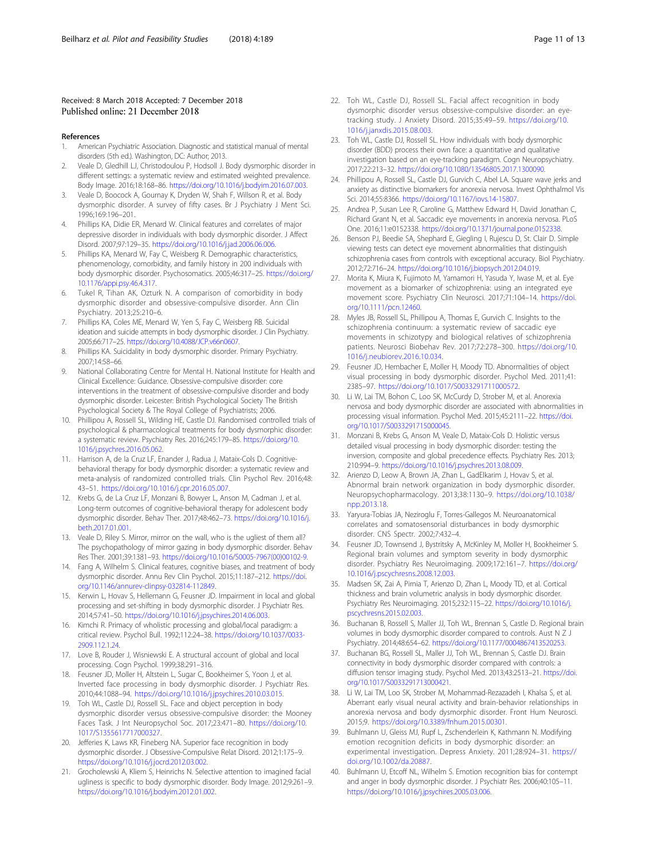#### <span id="page-10-0"></span>Received: 8 March 2018 Accepted: 7 December 2018 Published online: 21 December 2018

#### References

- 1. American Psychiatric Association. Diagnostic and statistical manual of mental disorders (5th ed.). Washington, DC: Author; 2013.
- Veale D, Gledhill LJ, Christodoulou P, Hodsoll J. Body dysmorphic disorder in different settings: a systematic review and estimated weighted prevalence. Body Image. 2016;18:168–86. <https://doi.org/10.1016/j.bodyim.2016.07.003>.
- 3. Veale D, Boocock A, Gournay K, Dryden W, Shah F, Willson R, et al. Body dysmorphic disorder. A survey of fifty cases. Br J Psychiatry J Ment Sci. 1996;169:196–201.
- 4. Phillips KA, Didie ER, Menard W. Clinical features and correlates of major depressive disorder in individuals with body dysmorphic disorder. J Affect Disord. 2007;97:129–35. [https://doi.org/10.1016/j.jad.2006.06.006.](https://doi.org/10.1016/j.jad.2006.06.006)
- 5. Phillips KA, Menard W, Fay C, Weisberg R. Demographic characteristics, phenomenology, comorbidity, and family history in 200 individuals with body dysmorphic disorder. Psychosomatics. 2005;46:317–25. [https://doi.org/](https://doi.org/10.1176/appi.psy.46.4.317) [10.1176/appi.psy.46.4.317.](https://doi.org/10.1176/appi.psy.46.4.317)
- 6. Tukel R, Tihan AK, Ozturk N. A comparison of comorbidity in body dysmorphic disorder and obsessive-compulsive disorder. Ann Clin Psychiatry. 2013;25:210–6.
- 7. Phillips KA, Coles ME, Menard W, Yen S, Fay C, Weisberg RB. Suicidal ideation and suicide attempts in body dysmorphic disorder. J Clin Psychiatry. 2005;66:717–25. [https://doi.org/10.4088/JCP.v66n0607.](https://doi.org/10.4088/JCP.v66n0607)
- 8. Phillips KA. Suicidality in body dysmorphic disorder. Primary Psychiatry. 2007;14:58–66.
- 9. National Collaborating Centre for Mental H. National Institute for Health and Clinical Excellence: Guidance. Obsessive-compulsive disorder: core interventions in the treatment of obsessive-compulsive disorder and body dysmorphic disorder. Leicester: British Psychological Society The British Psychological Society & The Royal College of Psychiatrists; 2006.
- 10. Phillipou A, Rossell SL, Wilding HE, Castle DJ. Randomised controlled trials of psychological & pharmacological treatments for body dysmorphic disorder: a systematic review. Psychiatry Res. 2016;245:179–85. [https://doi.org/10.](https://doi.org/10.1016/j.psychres.2016.05.062) [1016/j.psychres.2016.05.062](https://doi.org/10.1016/j.psychres.2016.05.062).
- 11. Harrison A, de la Cruz LF, Enander J, Radua J, Mataix-Cols D. Cognitivebehavioral therapy for body dysmorphic disorder: a systematic review and meta-analysis of randomized controlled trials. Clin Psychol Rev. 2016;48: 43–51. <https://doi.org/10.1016/j.cpr.2016.05.007>.
- 12. Krebs G, de La Cruz LF, Monzani B, Bowyer L, Anson M, Cadman J, et al. Long-term outcomes of cognitive-behavioral therapy for adolescent body dysmorphic disorder. Behav Ther. 2017;48:462–73. [https://doi.org/10.1016/j.](https://doi.org/10.1016/j.beth.2017.01.001) [beth.2017.01.001](https://doi.org/10.1016/j.beth.2017.01.001).
- 13. Veale D, Riley S. Mirror, mirror on the wall, who is the ugliest of them all? The psychopathology of mirror gazing in body dysmorphic disorder. Behav Res Ther. 2001;39:1381–93. [https://doi.org/10.1016/S0005-7967\(00\)00102-9](https://doi.org/10.1016/S0005-7967(00)00102-9).
- 14. Fang A, Wilhelm S. Clinical features, cognitive biases, and treatment of body dysmorphic disorder. Annu Rev Clin Psychol. 2015;11:187–212. [https://doi.](https://doi.org/10.1146/annurev-clinpsy-032814-112849) [org/10.1146/annurev-clinpsy-032814-112849.](https://doi.org/10.1146/annurev-clinpsy-032814-112849)
- 15. Kerwin L, Hovav S, Hellemann G, Feusner JD. Impairment in local and global processing and set-shifting in body dysmorphic disorder. J Psychiatr Res. 2014;57:41–50. [https://doi.org/10.1016/j.jpsychires.2014.06.003.](https://doi.org/10.1016/j.jpsychires.2014.06.003)
- 16. Kimchi R. Primacy of wholistic processing and global/local paradigm: a critical review. Psychol Bull. 1992;112:24–38. [https://doi.org/10.1037/0033-](https://doi.org/10.1037/0033-2909.112.1.24) [2909.112.1.24](https://doi.org/10.1037/0033-2909.112.1.24).
- 17. Love B, Rouder J, Wisniewski E. A structural account of global and local processing. Cogn Psychol. 1999;38:291–316.
- 18. Feusner JD, Moller H, Altstein L, Sugar C, Bookheimer S, Yoon J, et al. Inverted face processing in body dysmorphic disorder. J Psychiatr Res. 2010;44:1088–94. <https://doi.org/10.1016/j.jpsychires.2010.03.015>.
- 19. Toh WL, Castle DJ, Rossell SL. Face and object perception in body dysmorphic disorder versus obsessive-compulsive disorder: the Mooney Faces Task. J Int Neuropsychol Soc. 2017;23:471–80. [https://doi.org/10.](https://doi.org/10.1017/S1355617717000327) [1017/S1355617717000327.](https://doi.org/10.1017/S1355617717000327)
- 20. Jefferies K, Laws KR, Fineberg NA. Superior face recognition in body dysmorphic disorder. J Obsessive-Compulsive Relat Disord. 2012;1:175–9. <https://doi.org/10.1016/j.jocrd.2012.03.002>.
- 21. Grocholewski A, Kliem S, Heinrichs N. Selective attention to imagined facial ugliness is specific to body dysmorphic disorder. Body Image. 2012;9:261–9. [https://doi.org/10.1016/j.bodyim.2012.01.002.](https://doi.org/10.1016/j.bodyim.2012.01.002)
- 22. Toh WL, Castle DJ, Rossell SL. Facial affect recognition in body dysmorphic disorder versus obsessive-compulsive disorder: an eyetracking study. J Anxiety Disord. 2015;35:49–59. [https://doi.org/10.](https://doi.org/10.1016/j.janxdis.2015.08.003) [1016/j.janxdis.2015.08.003](https://doi.org/10.1016/j.janxdis.2015.08.003).
- 23. Toh WL, Castle DJ, Rossell SL. How individuals with body dysmorphic disorder (BDD) process their own face: a quantitative and qualitative investigation based on an eye-tracking paradigm. Cogn Neuropsychiatry. 2017;22:213–32. [https://doi.org/10.1080/13546805.2017.1300090.](https://doi.org/10.1080/13546805.2017.1300090)
- 24. Phillipou A, Rossell SL, Castle DJ, Gurvich C, Abel LA. Square wave jerks and anxiety as distinctive biomarkers for anorexia nervosa. Invest Ophthalmol Vis Sci. 2014;55:8366. <https://doi.org/10.1167/iovs.14-15807>.
- 25. Andrea P, Susan Lee R, Caroline G, Matthew Edward H, David Jonathan C, Richard Grant N, et al. Saccadic eye movements in anorexia nervosa. PLoS One. 2016;11:e0152338. <https://doi.org/10.1371/journal.pone.0152338>.
- 26. Benson PJ, Beedie SA, Shephard E, Giegling I, Rujescu D, St. Clair D. Simple viewing tests can detect eye movement abnormalities that distinguish schizophrenia cases from controls with exceptional accuracy. Biol Psychiatry. 2012;72:716–24. <https://doi.org/10.1016/j.biopsych.2012.04.019>.
- 27. Morita K, Miura K, Fujimoto M, Yamamori H, Yasuda Y, Iwase M, et al. Eye movement as a biomarker of schizophrenia: using an integrated eye movement score. Psychiatry Clin Neurosci. 2017;71:104–14. [https://doi.](https://doi.org/10.1111/pcn.12460) [org/10.1111/pcn.12460.](https://doi.org/10.1111/pcn.12460)
- 28. Myles JB, Rossell SL, Phillipou A, Thomas E, Gurvich C. Insights to the schizophrenia continuum: a systematic review of saccadic eye movements in schizotypy and biological relatives of schizophrenia patients. Neurosci Biobehav Rev. 2017;72:278–300. [https://doi.org/10.](https://doi.org/10.1016/j.neubiorev.2016.10.034) [1016/j.neubiorev.2016.10.034.](https://doi.org/10.1016/j.neubiorev.2016.10.034)
- 29. Feusner JD, Hembacher E, Moller H, Moody TD. Abnormalities of object visual processing in body dysmorphic disorder. Psychol Med. 2011;41: 2385–97. <https://doi.org/10.1017/S0033291711000572>.
- 30. Li W, Lai TM, Bohon C, Loo SK, McCurdy D, Strober M, et al. Anorexia nervosa and body dysmorphic disorder are associated with abnormalities in processing visual information. Psychol Med. 2015;45:2111–22. [https://doi.](https://doi.org/10.1017/S0033291715000045) [org/10.1017/S0033291715000045.](https://doi.org/10.1017/S0033291715000045)
- 31. Monzani B, Krebs G, Anson M, Veale D, Mataix-Cols D. Holistic versus detailed visual processing in body dysmorphic disorder: testing the inversion, composite and global precedence effects. Psychiatry Res. 2013; 210:994–9. <https://doi.org/10.1016/j.psychres.2013.08.009>.
- 32. Arienzo D, Leow A, Brown JA, Zhan L, GadElkarim J, Hovav S, et al. Abnormal brain network organization in body dysmorphic disorder. Neuropsychopharmacology. 2013;38:1130–9. [https://doi.org/10.1038/](https://doi.org/10.1038/npp.2013.18) [npp.2013.18](https://doi.org/10.1038/npp.2013.18).
- 33. Yaryura-Tobias JA, Neziroglu F, Torres-Gallegos M. Neuroanatomical correlates and somatosensorial disturbances in body dysmorphic disorder. CNS Spectr. 2002;7:432–4.
- 34. Feusner JD, Townsend J, Bystritsky A, McKinley M, Moller H, Bookheimer S. Regional brain volumes and symptom severity in body dysmorphic disorder. Psychiatry Res Neuroimaging. 2009;172:161–7. [https://doi.org/](https://doi.org/10.1016/j.pscychresns.2008.12.003) [10.1016/j.pscychresns.2008.12.003.](https://doi.org/10.1016/j.pscychresns.2008.12.003)
- 35. Madsen SK, Zai A, Pirnia T, Arienzo D, Zhan L, Moody TD, et al. Cortical thickness and brain volumetric analysis in body dysmorphic disorder. Psychiatry Res Neuroimaging. 2015;232:115–22. [https://doi.org/10.1016/j.](https://doi.org/10.1016/j.pscychresns.2015.02.003) [pscychresns.2015.02.003](https://doi.org/10.1016/j.pscychresns.2015.02.003).
- 36. Buchanan B, Rossell S, Maller JJ, Toh WL, Brennan S, Castle D. Regional brain volumes in body dysmorphic disorder compared to controls. Aust N Z J Psychiatry. 2014;48:654–62. [https://doi.org/10.1177/0004867413520253.](https://doi.org/10.1177/0004867413520253)
- 37. Buchanan BG, Rossell SL, Maller JJ, Toh WL, Brennan S, Castle DJ. Brain connectivity in body dysmorphic disorder compared with controls: a diffusion tensor imaging study. Psychol Med. 2013;43:2513–21. [https://doi.](https://doi.org/10.1017/S0033291713000421) [org/10.1017/S0033291713000421.](https://doi.org/10.1017/S0033291713000421)
- 38. Li W, Lai TM, Loo SK, Strober M, Mohammad-Rezazadeh I, Khalsa S, et al. Aberrant early visual neural activity and brain-behavior relationships in anorexia nervosa and body dysmorphic disorder. Front Hum Neurosci. 2015;9. <https://doi.org/10.3389/fnhum.2015.00301>.
- 39. Buhlmann U, Gleiss MJ, Rupf L, Zschenderlein K, Kathmann N. Modifying emotion recognition deficits in body dysmorphic disorder: an experimental investigation. Depress Anxiety. 2011;28:924–31. [https://](https://doi.org/10.1002/da.20887) [doi.org/10.1002/da.20887](https://doi.org/10.1002/da.20887).
- 40. Buhlmann U, Etcoff NL, Wilhelm S. Emotion recognition bias for contempt and anger in body dysmorphic disorder. J Psychiatr Res. 2006;40:105–11. <https://doi.org/10.1016/j.jpsychires.2005.03.006>.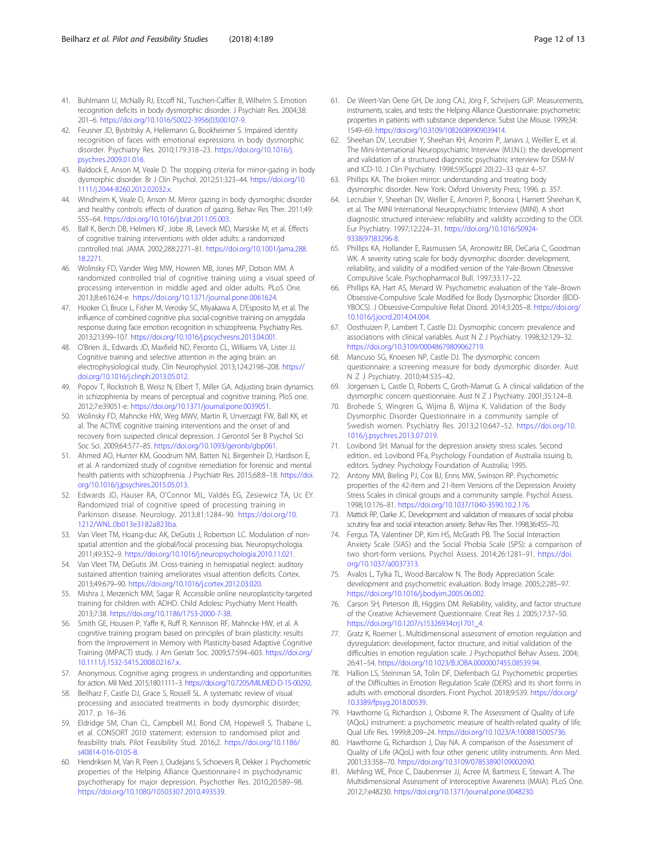- <span id="page-11-0"></span>41. Buhlmann U, McNally RJ, Etcoff NL, Tuschen-Caffier B, Wilhelm S. Emotion recognition deficits in body dysmorphic disorder. J Psychiatr Res. 2004;38: 201–6. [https://doi.org/10.1016/S0022-3956\(03\)00107-9](https://doi.org/10.1016/S0022-3956(03)00107-9).
- 42. Feusner JD, Bystritsky A, Hellemann G, Bookheimer S. Impaired identity recognition of faces with emotional expressions in body dysmorphic disorder. Psychiatry Res. 2010;179:318–23. [https://doi.org/10.1016/j.](https://doi.org/10.1016/j.psychres.2009.01.016) [psychres.2009.01.016](https://doi.org/10.1016/j.psychres.2009.01.016).
- 43. Baldock E, Anson M, Veale D. The stopping criteria for mirror-gazing in body dysmorphic disorder. Br J Clin Psychol. 2012;51:323–44. [https://doi.org/10.](https://doi.org/10.1111/j.2044-8260.2012.02032.x) [1111/j.2044-8260.2012.02032.x](https://doi.org/10.1111/j.2044-8260.2012.02032.x).
- 44. Windheim K, Veale D, Anson M. Mirror gazing in body dysmorphic disorder and healthy controls: effects of duration of gazing. Behav Res Ther. 2011;49: 555–64. <https://doi.org/10.1016/j.brat.2011.05.003>.
- 45. Ball K, Berch DB, Helmers KF, Jobe JB, Leveck MD, Marsiske M, et al. Effects of cognitive training interventions with older adults: a randomized controlled trial. JAMA. 2002;288:2271–81. [https://doi.org/10.1001/jama.288.](https://doi.org/10.1001/jama.288.18.2271) [18.2271](https://doi.org/10.1001/jama.288.18.2271).
- 46. Wolinsky FD, Vander Weg MW, Howren MB, Jones MP, Dotson MM. A randomized controlled trial of cognitive training using a visual speed of processing intervention in middle aged and older adults. PLoS One. 2013;8:e61624-e. <https://doi.org/10.1371/journal.pone.0061624>.
- 47. Hooker CI, Bruce L, Fisher M, Verosky SC, Miyakawa A, D'Esposito M, et al. The influence of combined cognitive plus social-cognitive training on amygdala response during face emotion recognition in schizophrenia. Psychiatry Res. 2013;213:99–107. <https://doi.org/10.1016/j.pscychresns.2013.04.001>.
- 48. O'Brien JL, Edwards JD, Maxfield ND, Peronto CL, Williams VA, Lister JJ. Cognitive training and selective attention in the aging brain: an electrophysiological study. Clin Neurophysiol. 2013;124:2198–208. [https://](https://doi.org/10.1016/j.clinph.2013.05.012) [doi.org/10.1016/j.clinph.2013.05.012.](https://doi.org/10.1016/j.clinph.2013.05.012)
- 49. Popov T, Rockstroh B, Weisz N, Elbert T, Miller GA. Adjusting brain dynamics in schizophrenia by means of perceptual and cognitive training. PloS one. 2012;7:e39051-e. <https://doi.org/10.1371/journal.pone.0039051>.
- 50. Wolinsky FD, Mahncke HW, Weg MWV, Martin R, Unverzagt FW, Ball KK, et al. The ACTIVE cognitive training interventions and the onset of and recovery from suspected clinical depression. J Gerontol Ser B Psychol Sci Soc Sci. 2009;64:577–85. <https://doi.org/10.1093/geronb/gbp061>.
- 51. Ahmed AO, Hunter KM, Goodrum NM, Batten NJ, Birgenheir D, Hardison E, et al. A randomized study of cognitive remediation for forensic and mental health patients with schizophrenia. J Psychiatr Res. 2015;68:8–18. [https://doi.](https://doi.org/10.1016/j.jpsychires.2015.05.013) [org/10.1016/j.jpsychires.2015.05.013](https://doi.org/10.1016/j.jpsychires.2015.05.013).
- 52. Edwards JD, Hauser RA, O'Connor ML, Valdés EG, Zesiewicz TA, Uc EY. Randomized trial of cognitive speed of processing training in Parkinson disease. Neurology. 2013;81:1284–90. [https://doi.org/10.](https://doi.org/10.1212/WNL.0b013e3182a823ba) [1212/WNL.0b013e3182a823ba](https://doi.org/10.1212/WNL.0b013e3182a823ba).
- 53. Van Vleet TM, Hoang-duc AK, DeGutis J, Robertson LC. Modulation of nonspatial attention and the global/local processing bias. Neuropsychologia. 2011;49:352–9. <https://doi.org/10.1016/j.neuropsychologia.2010.11.021>.
- 54. Van Vleet TM, DeGutis JM. Cross-training in hemispatial neglect: auditory sustained attention training ameliorates visual attention deficits. Cortex. 2013;49:679–90. <https://doi.org/10.1016/j.cortex.2012.03.020>.
- 55. Mishra J, Merzenich MM, Sagar R. Accessible online neuroplasticity-targeted training for children with ADHD. Child Adolesc Psychiatry Ment Health. 2013;7:38. <https://doi.org/10.1186/1753-2000-7-38>.
- 56. Smith GE, Housen P, Yaffe K, Ruff R, Kennison RF, Mahncke HW, et al. A cognitive training program based on principles of brain plasticity: results from the Improvement in Memory with Plasticity-based Adaptive Cognitive Training (IMPACT) study. J Am Geriatr Soc. 2009;57:594–603. [https://doi.org/](https://doi.org/10.1111/j.1532-5415.2008.02167.x) [10.1111/j.1532-5415.2008.02167.x](https://doi.org/10.1111/j.1532-5415.2008.02167.x).
- 57. Anonymous. Cognitive aging: progress in understanding and opportunities for action. Mil Med. 2015;180:1111–3. [https://doi.org/10.7205/MILMED-D-15-00292.](https://doi.org/10.7205/MILMED-D-15-00292)
- 58. Beilharz F, Castle DJ, Grace S, Rossell SL. A systematic review of visual processing and associated treatments in body dysmorphic disorder; 2017. p. 16–36.
- 59. Eldridge SM, Chan CL, Campbell MJ, Bond CM, Hopewell S, Thabane L, et al. CONSORT 2010 statement: extension to randomised pilot and feasibility trials. Pilot Feasibility Stud. 2016;2. [https://doi.org/10.1186/](https://doi.org/10.1186/s40814-016-0105-8) [s40814-016-0105-8](https://doi.org/10.1186/s40814-016-0105-8).
- 60. Hendriksen M, Van R, Peen J, Oudejans S, Schoevers R, Dekker J. Psychometric properties of the Helping Alliance Questionnaire-I in psychodynamic psychotherapy for major depression. Psychother Res. 2010;20:589–98. [https://doi.org/10.1080/10503307.2010.493539.](https://doi.org/10.1080/10503307.2010.493539)
- 61. De Weert-Van Oene GH, De Jong CAJ, Jörg F, Schrijvers GJP. Measurements, instruments, scales, and tests: the Helping Alliance Questionnaire: psychometric properties in patients with substance dependence. Subst Use Misuse. 1999;34: 1549–69. [https://doi.org/10.3109/10826089909039414.](https://doi.org/10.3109/10826089909039414)
- 62. Sheehan DV, Lecrubier Y, Sheehan KH, Amorim P, Janavs J, Weiller E, et al. The Mini-International Neuropsychiatric Interview (M.I.N.I.): the development and validation of a structured diagnostic psychiatric interview for DSM-IV and ICD-10. J Clin Psychiatry. 1998;59(Suppl 20):22–33 quiz 4–57.
- 63. Phillips KA. The broken mirror: understanding and treating body dysmorphic disorder. New York: Oxford University Press; 1996. p. 357.
- 64. Lecrubier Y, Sheehan DV, Weiller E, Amorim P, Bonora I, Harnett Sheehan K, et al. The MINI International Neuropsychiatric Interview (MINI). A short diagnostic structured interview: reliability and validity according to the CIDI. Eur Psychiatry. 1997;12:224–31. [https://doi.org/10.1016/S0924-](https://doi.org/10.1016/S0924-9338(97)83296-8) [9338\(97\)83296-8](https://doi.org/10.1016/S0924-9338(97)83296-8).
- 65. Phillips KA, Hollander E, Rasmussen SA, Aronowitz BR, DeCaria C, Goodman WK. A severity rating scale for body dysmorphic disorder: development, reliability, and validity of a modified version of the Yale-Brown Obsessive Compulsive Scale. Psychopharmacol Bull. 1997;33:17–22.
- 66. Phillips KA, Hart AS, Menard W. Psychometric evaluation of the Yale–Brown Obsessive-Compulsive Scale Modified for Body Dysmorphic Disorder (BDD-YBOCS). J Obsessive-Compulsive Relat Disord. 2014;3:205–8. [https://doi.org/](https://doi.org/10.1016/j.jocrd.2014.04.004) [10.1016/j.jocrd.2014.04.004](https://doi.org/10.1016/j.jocrd.2014.04.004).
- 67. Oosthuizen P, Lambert T, Castle DJ. Dysmorphic concern: prevalence and associations with clinical variables. Aust N Z J Psychiatry. 1998;32:129–32. [https://doi.org/10.3109/00048679809062719.](https://doi.org/10.3109/00048679809062719)
- 68. Mancuso SG, Knoesen NP, Castle DJ. The dysmorphic concern questionnaire: a screening measure for body dysmorphic disorder. Aust N Z J Psychiatry. 2010;44:535–42.
- 69. Jorgensen L, Castle D, Roberts C, Groth-Marnat G. A clinical validation of the dysmorphic concern questionnaire. Aust N Z J Psychiatry. 2001;35:124–8.
- 70. Brohede S, Wingren G, Wijma B, Wijma K. Validation of the Body Dysmorphic Disorder Questionnaire in a community sample of Swedish women. Psychiatry Res. 2013;210:647–52. [https://doi.org/10.](https://doi.org/10.1016/j.psychres.2013.07.019) [1016/j.psychres.2013.07.019](https://doi.org/10.1016/j.psychres.2013.07.019).
- 71. Lovibond SH. Manual for the depression anxiety stress scales. Second edition.. ed. Lovibond PFa, Psychology Foundation of Australia issuing b, editors. Sydney: Psychology Foundation of Australia; 1995.
- 72. Antony MM, Bieling PJ, Cox BJ, Enns MW, Swinson RP. Psychometric properties of the 42-Item and 21-Item Versions of the Depression Anxiety Stress Scales in clinical groups and a community sample. Psychol Assess. 1998;10:176–81. <https://doi.org/10.1037/1040-3590.10.2.176>.
- 73. Mattick RP, Clarke JC. Development and validation of measures of social phobia scrutiny fear and social interaction anxiety. Behav Res Ther. 1998;36:455–70.
- 74. Fergus TA, Valentiner DP, Kim HS, McGrath PB. The Social Interaction Anxiety Scale (SIAS) and the Social Phobia Scale (SPS): a comparison of two short-form versions. Psychol Assess. 2014;26:1281–91. [https://doi.](https://doi.org/10.1037/a0037313) [org/10.1037/a0037313.](https://doi.org/10.1037/a0037313)
- 75. Avalos L, Tylka TL, Wood-Barcalow N. The Body Appreciation Scale: development and psychometric evaluation. Body Image. 2005;2:285–97. [https://doi.org/10.1016/j.bodyim.2005.06.002.](https://doi.org/10.1016/j.bodyim.2005.06.002)
- 76. Carson SH, Peterson JB, Higgins DM. Reliability, validity, and factor structure of the Creative Achievement Questionnaire. Creat Res J. 2005;17:37–50. [https://doi.org/10.1207/s15326934crj1701\\_4](https://doi.org/10.1207/s15326934crj1701_4).
- 77. Gratz K, Roemer L. Multidimensional assessment of emotion regulation and dysregulation: development, factor structure, and initial validation of the difficulties in emotion regulation scale. J Psychopathol Behav Assess. 2004; 26:41–54. [https://doi.org/10.1023/B:JOBA.0000007455.08539.94.](https://doi.org/10.1023/B:JOBA.0000007455.08539.94)
- 78. Hallion LS, Steinman SA, Tolin DF, Diefenbach GJ. Psychometric properties of the Difficulties in Emotion Regulation Scale (DERS) and its short forms in adults with emotional disorders. Front Psychol. 2018;9:539. [https://doi.org/](https://doi.org/10.3389/fpsyg.2018.00539) [10.3389/fpsyg.2018.00539](https://doi.org/10.3389/fpsyg.2018.00539).
- 79. Hawthorne G, Richardson J, Osborne R. The Assessment of Quality of Life (AQoL) instrument: a psychometric measure of health-related quality of life. Qual Life Res. 1999;8:209–24. <https://doi.org/10.1023/A:1008815005736>.
- 80. Hawthorne G, Richardson J, Day NA. A comparison of the Assessment of Quality of Life (AQoL) with four other generic utility instruments. Ann Med. 2001;33:358–70. [https://doi.org/10.3109/07853890109002090.](https://doi.org/10.3109/07853890109002090)
- 81. Mehling WE, Price C, Daubenmier JJ, Acree M, Bartmess E, Stewart A. The Multidimensional Assessment of Interoceptive Awareness (MAIA). PLoS One. 2012;7:e48230. [https://doi.org/10.1371/journal.pone.0048230.](https://doi.org/10.1371/journal.pone.0048230)